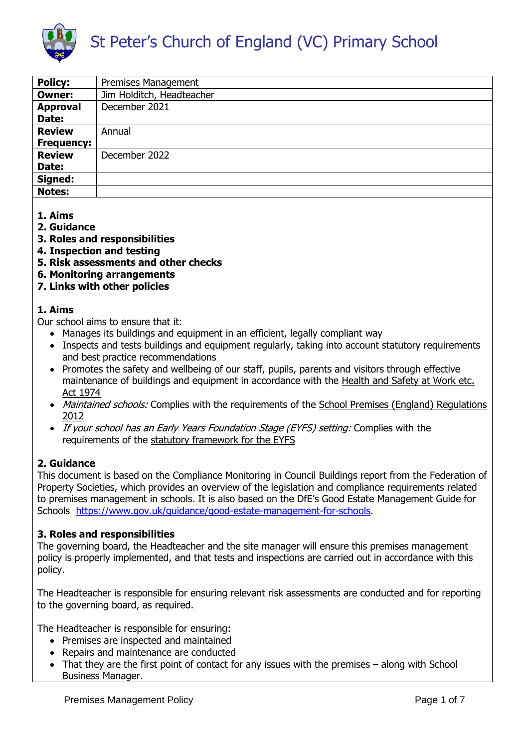

| <b>Policy:</b>    | Premises Management       |
|-------------------|---------------------------|
| <b>Owner:</b>     | Jim Holditch, Headteacher |
| <b>Approval</b>   | December 2021             |
| Date:             |                           |
| <b>Review</b>     | Annual                    |
| <b>Frequency:</b> |                           |
| <b>Review</b>     | December 2022             |
| Date:             |                           |
| Signed:           |                           |
| <b>Notes:</b>     |                           |

- **1. Aims**
- **2. Guidance**
- **3. Roles and responsibilities**
- **4. Inspection and testing**
- **5. Risk assessments and other checks**
- **6. Monitoring arrangements**
- **7. Links with other policies**

### **1. Aims**

Our school aims to ensure that it:

- Manages its buildings and equipment in an efficient, legally compliant way
- Inspects and tests buildings and equipment regularly, taking into account statutory requirements and best practice recommendations
- Promotes the safety and wellbeing of our staff, pupils, parents and visitors through effective maintenance of buildings and equipment in accordance with the [Health and Safety at Work etc.](https://www.legislation.gov.uk/ukpga/1974/37/contents)  [Act 1974](https://www.legislation.gov.uk/ukpga/1974/37/contents)
- Maintained schools: Complies with the requirements of the School Premises (England) Regulations [2012](http://www.legislation.gov.uk/uksi/2012/1943/contents/made)
- If your school has an Early Years Foundation Stage (EYFS) setting: Complies with the requirements of the [statutory framework for the EYFS](https://www.gov.uk/government/publications/early-years-foundation-stage-framework--2)

# **2. Guidance**

This document is based on the [Compliance Monitoring in Council Buildings report](http://www.cipfa.org/~/media/files/services/property/document%20library/compliance%20monitoring%20england%20december%202014.pdf) from the Federation of Property Societies, which provides an overview of the legislation and compliance requirements related to premises management in schools. It is also based on the DfE's Good Estate Management Guide for Schools [https://www.gov.uk/guidance/good-estate-management-for-schools.](https://www.gov.uk/guidance/good-estate-management-for-schools)

# **3. Roles and responsibilities**

The governing board, the Headteacher and the site manager will ensure this premises management policy is properly implemented, and that tests and inspections are carried out in accordance with this policy.

The Headteacher is responsible for ensuring relevant risk assessments are conducted and for reporting to the governing board, as required.

The Headteacher is responsible for ensuring:

- Premises are inspected and maintained
- Repairs and maintenance are conducted
- That they are the first point of contact for any issues with the premises along with School Business Manager.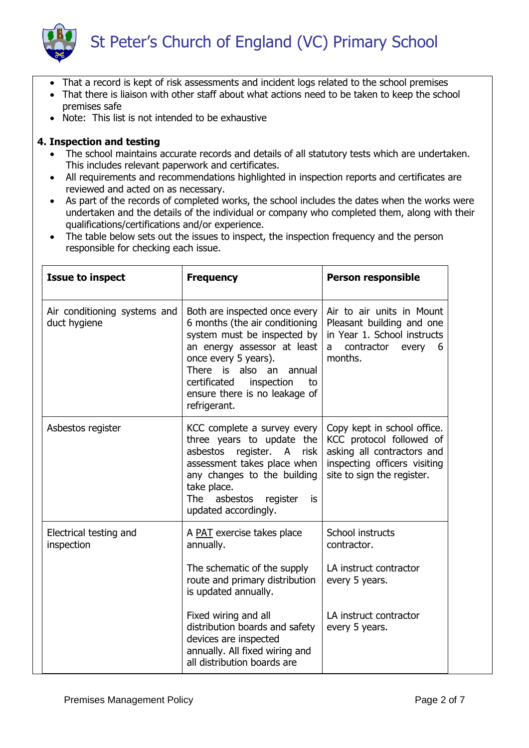

- That a record is kept of risk assessments and incident logs related to the school premises
- That there is liaison with other staff about what actions need to be taken to keep the school premises safe
- Note: This list is not intended to be exhaustive

### **4. Inspection and testing**

- The school maintains accurate records and details of all statutory tests which are undertaken. This includes relevant paperwork and certificates.
- All requirements and recommendations highlighted in inspection reports and certificates are reviewed and acted on as necessary.
- As part of the records of completed works, the school includes the dates when the works were undertaken and the details of the individual or company who completed them, along with their qualifications/certifications and/or experience.
- The table below sets out the issues to inspect, the inspection frequency and the person responsible for checking each issue.

| <b>Issue to inspect</b>                      | <b>Frequency</b>                                                                                                                                                                                                                                                               | <b>Person responsible</b>                                                                                                                           |
|----------------------------------------------|--------------------------------------------------------------------------------------------------------------------------------------------------------------------------------------------------------------------------------------------------------------------------------|-----------------------------------------------------------------------------------------------------------------------------------------------------|
| Air conditioning systems and<br>duct hygiene | Both are inspected once every<br>6 months (the air conditioning<br>system must be inspected by<br>an energy assessor at least<br>once every 5 years).<br>also<br>There is<br>an<br>annual<br>certificated<br>inspection<br>to<br>ensure there is no leakage of<br>refrigerant. | Air to air units in Mount<br>Pleasant building and one<br>in Year 1. School instructs<br>contractor<br>every<br>6<br>a<br>months.                   |
| Asbestos register                            | KCC complete a survey every<br>three years to update the<br>asbestos<br>register.<br>risk<br>A<br>assessment takes place when<br>any changes to the building<br>take place.<br>The asbestos register<br>is<br>updated accordingly.                                             | Copy kept in school office.<br>KCC protocol followed of<br>asking all contractors and<br>inspecting officers visiting<br>site to sign the register. |
| Electrical testing and<br>inspection         | A PAT exercise takes place<br>annually.<br>The schematic of the supply<br>route and primary distribution<br>is updated annually.                                                                                                                                               | School instructs<br>contractor.<br>LA instruct contractor<br>every 5 years.                                                                         |
|                                              | Fixed wiring and all<br>distribution boards and safety<br>devices are inspected<br>annually. All fixed wiring and<br>all distribution boards are                                                                                                                               | LA instruct contractor<br>every 5 years.                                                                                                            |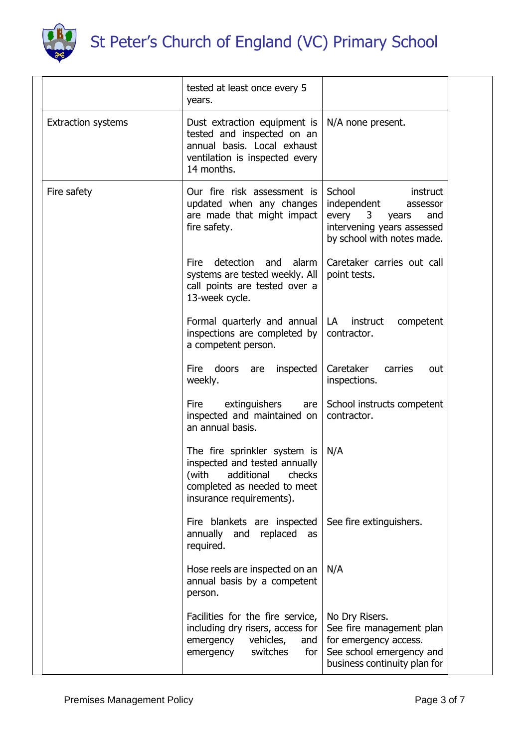

|                           | tested at least once every 5<br>years.                                                                                                              |                                                                                                                                         |  |
|---------------------------|-----------------------------------------------------------------------------------------------------------------------------------------------------|-----------------------------------------------------------------------------------------------------------------------------------------|--|
| <b>Extraction systems</b> | Dust extraction equipment is<br>tested and inspected on an<br>annual basis. Local exhaust<br>ventilation is inspected every<br>14 months.           | N/A none present.                                                                                                                       |  |
| Fire safety               | Our fire risk assessment is<br>updated when any changes<br>are made that might impact<br>fire safety.                                               | School<br>instruct<br>independent<br>assessor<br>every<br>3<br>and<br>years<br>intervening years assessed<br>by school with notes made. |  |
|                           | detection<br>and<br>alarm<br><b>Fire</b><br>systems are tested weekly. All<br>call points are tested over a<br>13-week cycle.                       | Caretaker carries out call<br>point tests.                                                                                              |  |
|                           | Formal quarterly and annual<br>inspections are completed by<br>a competent person.                                                                  | LA<br>instruct<br>competent<br>contractor.                                                                                              |  |
|                           | Fire doors<br>inspected<br>are<br>weekly.                                                                                                           | Caretaker<br>carries<br>out<br>inspections.                                                                                             |  |
|                           | extinguishers<br><b>Fire</b><br>are<br>inspected and maintained on<br>an annual basis.                                                              | School instructs competent<br>contractor.                                                                                               |  |
|                           | The fire sprinkler system is<br>inspected and tested annually<br>(with additional checks<br>completed as needed to meet<br>insurance requirements). | N/A                                                                                                                                     |  |
|                           | Fire blankets are inspected<br>annually<br>replaced<br>and<br>as<br>required.                                                                       | See fire extinguishers.                                                                                                                 |  |
|                           | Hose reels are inspected on an<br>annual basis by a competent<br>person.                                                                            | N/A                                                                                                                                     |  |
|                           | Facilities for the fire service,<br>including dry risers, access for<br>emergency<br>vehicles,<br>and<br>emergency<br>switches<br>for               | No Dry Risers.<br>See fire management plan<br>for emergency access.<br>See school emergency and<br>business continuity plan for         |  |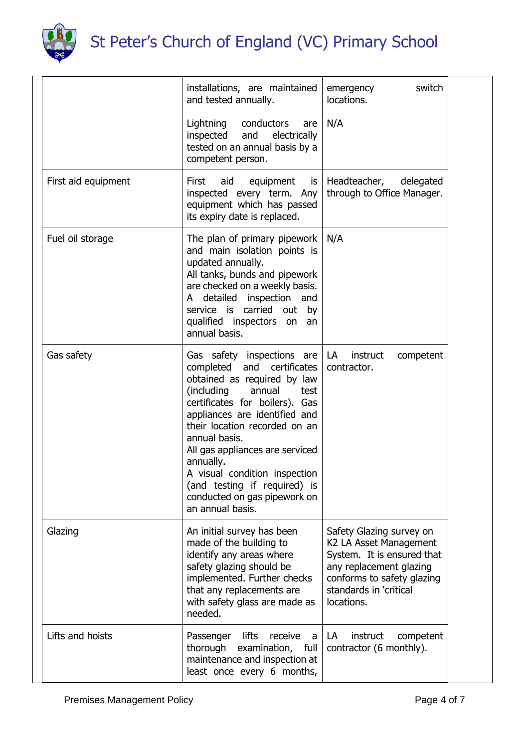

|                     | installations, are maintained<br>and tested annually.                                                                                                                                                                                                                                                                                                                                                                    | switch<br>emergency<br>locations.                                                                                                                                                 |
|---------------------|--------------------------------------------------------------------------------------------------------------------------------------------------------------------------------------------------------------------------------------------------------------------------------------------------------------------------------------------------------------------------------------------------------------------------|-----------------------------------------------------------------------------------------------------------------------------------------------------------------------------------|
|                     | Lightning<br>conductors<br>are<br>and<br>electrically<br>inspected<br>tested on an annual basis by a<br>competent person.                                                                                                                                                                                                                                                                                                | N/A                                                                                                                                                                               |
| First aid equipment | First<br>aid<br>equipment<br>is<br>inspected every term. Any<br>equipment which has passed<br>its expiry date is replaced.                                                                                                                                                                                                                                                                                               | Headteacher,<br>delegated<br>through to Office Manager.                                                                                                                           |
| Fuel oil storage    | The plan of primary pipework<br>and main isolation points is<br>updated annually.<br>All tanks, bunds and pipework<br>are checked on a weekly basis.<br>A detailed inspection and<br>service is carried out by<br>qualified inspectors on<br>an<br>annual basis.                                                                                                                                                         | N/A                                                                                                                                                                               |
| Gas safety          | Gas safety inspections are $ LA $<br>completed and certificates<br>obtained as required by law<br>(including<br>annual<br>test<br>certificates for boilers). Gas<br>appliances are identified and<br>their location recorded on an<br>annual basis.<br>All gas appliances are serviced<br>annually.<br>A visual condition inspection<br>(and testing if required) is<br>conducted on gas pipework on<br>an annual basis. | instruct<br>competent<br>contractor.                                                                                                                                              |
| Glazing             | An initial survey has been<br>made of the building to<br>identify any areas where<br>safety glazing should be<br>implemented. Further checks<br>that any replacements are<br>with safety glass are made as<br>needed.                                                                                                                                                                                                    | Safety Glazing survey on<br>K2 LA Asset Management<br>System. It is ensured that<br>any replacement glazing<br>conforms to safety glazing<br>standards in 'critical<br>locations. |
| Lifts and hoists    | lifts<br>Passenger<br>receive<br>a<br>thorough<br>examination,<br>full<br>maintenance and inspection at<br>least once every 6 months,                                                                                                                                                                                                                                                                                    | LA<br>instruct<br>competent<br>contractor (6 monthly).                                                                                                                            |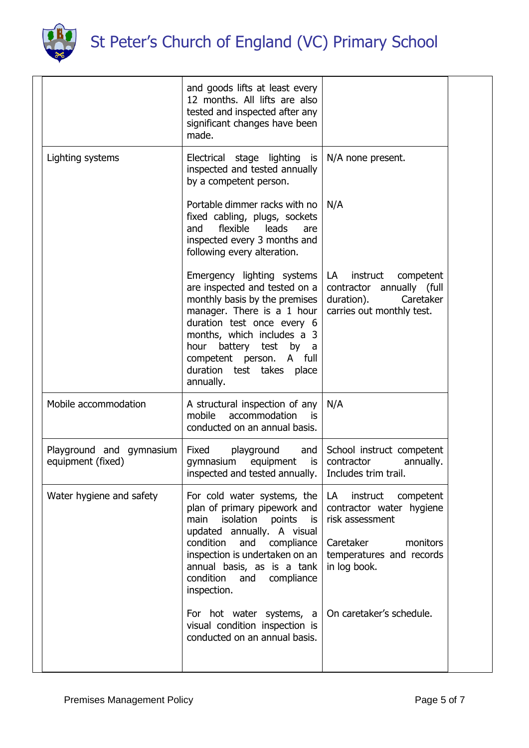

| and goods lifts at least every<br>12 months. All lifts are also<br>tested and inspected after any<br>significant changes have been<br>made.<br>Electrical stage lighting is<br>N/A none present.<br>inspected and tested annually<br>by a competent person.<br>Portable dimmer racks with no<br>N/A<br>fixed cabling, plugs, sockets<br>flexible<br>leads<br>and<br>are<br>inspected every 3 months and<br>following every alteration.<br>Emergency lighting systems<br>instruct<br>competent<br>LA<br>are inspected and tested on a<br>contractor annually (full<br>monthly basis by the premises<br>duration).<br>Caretaker<br>manager. There is a 1 hour<br>carries out monthly test.<br>duration test once every 6<br>months, which includes a 3<br>hour battery test by a<br>competent person. A full<br>duration test takes place<br>annually.<br>A structural inspection of any<br>N/A<br>mobile<br>accommodation<br>is<br>conducted on an annual basis.<br>Fixed<br>playground<br>and<br>School instruct competent<br>contractor<br>gymnasium<br>equipment<br>is<br>annually.<br>inspected and tested annually.   Includes trim trail.<br>For cold water systems, the<br>instruct<br>LA<br>competent<br>plan of primary pipework and<br>contractor water hygiene<br>isolation<br>main<br>points is<br>risk assessment<br>updated annually. A visual<br>Caretaker<br>condition and compliance<br>monitors<br>inspection is undertaken on an<br>temperatures and records<br>annual basis, as is a tank<br>in log book.<br>condition<br>and<br>compliance<br>inspection.<br>On caretaker's schedule.<br>For hot water systems, a<br>visual condition inspection is<br>conducted on an annual basis. |                                               |  |
|----------------------------------------------------------------------------------------------------------------------------------------------------------------------------------------------------------------------------------------------------------------------------------------------------------------------------------------------------------------------------------------------------------------------------------------------------------------------------------------------------------------------------------------------------------------------------------------------------------------------------------------------------------------------------------------------------------------------------------------------------------------------------------------------------------------------------------------------------------------------------------------------------------------------------------------------------------------------------------------------------------------------------------------------------------------------------------------------------------------------------------------------------------------------------------------------------------------------------------------------------------------------------------------------------------------------------------------------------------------------------------------------------------------------------------------------------------------------------------------------------------------------------------------------------------------------------------------------------------------------------------------------------------------------------------------------------------|-----------------------------------------------|--|
|                                                                                                                                                                                                                                                                                                                                                                                                                                                                                                                                                                                                                                                                                                                                                                                                                                                                                                                                                                                                                                                                                                                                                                                                                                                                                                                                                                                                                                                                                                                                                                                                                                                                                                          |                                               |  |
|                                                                                                                                                                                                                                                                                                                                                                                                                                                                                                                                                                                                                                                                                                                                                                                                                                                                                                                                                                                                                                                                                                                                                                                                                                                                                                                                                                                                                                                                                                                                                                                                                                                                                                          | Lighting systems                              |  |
|                                                                                                                                                                                                                                                                                                                                                                                                                                                                                                                                                                                                                                                                                                                                                                                                                                                                                                                                                                                                                                                                                                                                                                                                                                                                                                                                                                                                                                                                                                                                                                                                                                                                                                          |                                               |  |
|                                                                                                                                                                                                                                                                                                                                                                                                                                                                                                                                                                                                                                                                                                                                                                                                                                                                                                                                                                                                                                                                                                                                                                                                                                                                                                                                                                                                                                                                                                                                                                                                                                                                                                          |                                               |  |
|                                                                                                                                                                                                                                                                                                                                                                                                                                                                                                                                                                                                                                                                                                                                                                                                                                                                                                                                                                                                                                                                                                                                                                                                                                                                                                                                                                                                                                                                                                                                                                                                                                                                                                          | Mobile accommodation                          |  |
|                                                                                                                                                                                                                                                                                                                                                                                                                                                                                                                                                                                                                                                                                                                                                                                                                                                                                                                                                                                                                                                                                                                                                                                                                                                                                                                                                                                                                                                                                                                                                                                                                                                                                                          | Playground and gymnasium<br>equipment (fixed) |  |
|                                                                                                                                                                                                                                                                                                                                                                                                                                                                                                                                                                                                                                                                                                                                                                                                                                                                                                                                                                                                                                                                                                                                                                                                                                                                                                                                                                                                                                                                                                                                                                                                                                                                                                          | Water hygiene and safety                      |  |
|                                                                                                                                                                                                                                                                                                                                                                                                                                                                                                                                                                                                                                                                                                                                                                                                                                                                                                                                                                                                                                                                                                                                                                                                                                                                                                                                                                                                                                                                                                                                                                                                                                                                                                          |                                               |  |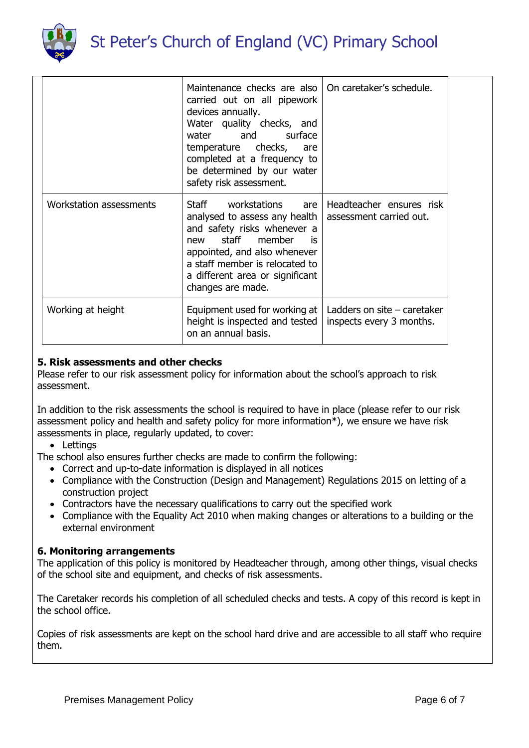

|                         | Maintenance checks are also<br>carried out on all pipework<br>devices annually.<br>Water quality checks, and<br>water and surface<br>temperature checks,<br>are<br>completed at a frequency to<br>be determined by our water<br>safety risk assessment. | On caretaker's schedule.                                  |  |
|-------------------------|---------------------------------------------------------------------------------------------------------------------------------------------------------------------------------------------------------------------------------------------------------|-----------------------------------------------------------|--|
| Workstation assessments | Staff workstations are<br>analysed to assess any health<br>and safety risks whenever a<br>new staff member<br><b>is</b><br>appointed, and also whenever<br>a staff member is relocated to<br>a different area or significant<br>changes are made.       | Headteacher ensures risk<br>assessment carried out.       |  |
| Working at height       | Equipment used for working at<br>height is inspected and tested<br>on an annual basis.                                                                                                                                                                  | Ladders on site $-$ caretaker<br>inspects every 3 months. |  |

### **5. Risk assessments and other checks**

Please refer to our risk assessment policy for information about the school's approach to risk assessment.

In addition to the risk assessments the school is required to have in place (please refer to our risk assessment policy and health and safety policy for more information\*), we ensure we have risk assessments in place, regularly updated, to cover:

• Lettings

The school also ensures further checks are made to confirm the following:

- Correct and up-to-date information is displayed in all notices
- Compliance with the Construction (Design and Management) Regulations 2015 on letting of a construction project
- Contractors have the necessary qualifications to carry out the specified work
- Compliance with the Equality Act 2010 when making changes or alterations to a building or the external environment

#### **6. Monitoring arrangements**

The application of this policy is monitored by Headteacher through, among other things, visual checks of the school site and equipment, and checks of risk assessments.

The Caretaker records his completion of all scheduled checks and tests. A copy of this record is kept in the school office.

Copies of risk assessments are kept on the school hard drive and are accessible to all staff who require them.